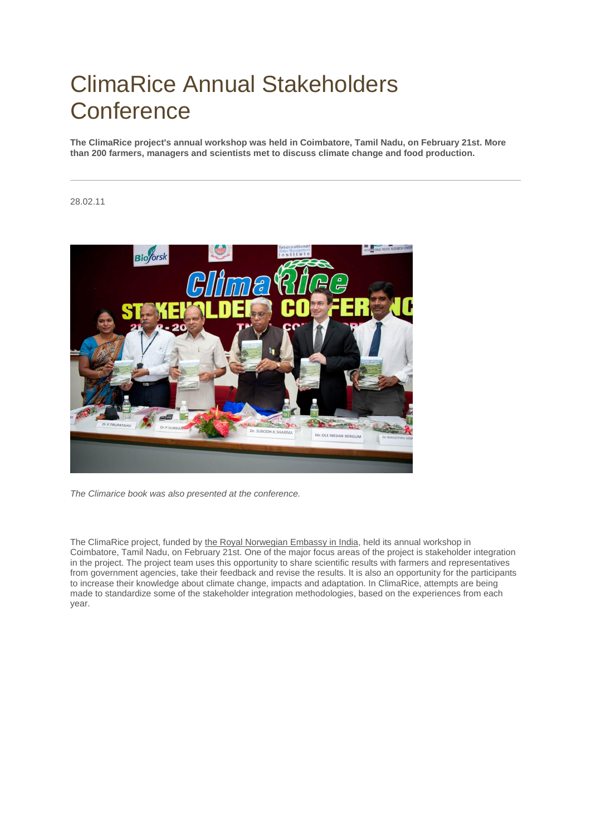## ClimaRice Annual Stakeholders **Conference**

**The ClimaRice project's annual workshop was held in Coimbatore, Tamil Nadu, on February 21st. More than 200 farmers, managers and scientists met to discuss climate change and food production.**

## 28.02.11



*The Climarice book was also presented at the conference.*

The ClimaRice project, funded by [the Royal Norwegian Embassy in India,](http://www.norwayemb.org.in/News_and_events/Climate-and-Environment/Indo-Norwegian-Cooperation/More-than-200-farmers-managers-and-scientists-discuss-climate-change-and-food-production-/) held its annual workshop in Coimbatore, Tamil Nadu, on February 21st. One of the major focus areas of the project is stakeholder integration in the project. The project team uses this opportunity to share scientific results with farmers and representatives from government agencies, take their feedback and revise the results. It is also an opportunity for the participants to increase their knowledge about climate change, impacts and adaptation. In ClimaRice, attempts are being made to standardize some of the stakeholder integration methodologies, based on the experiences from each year.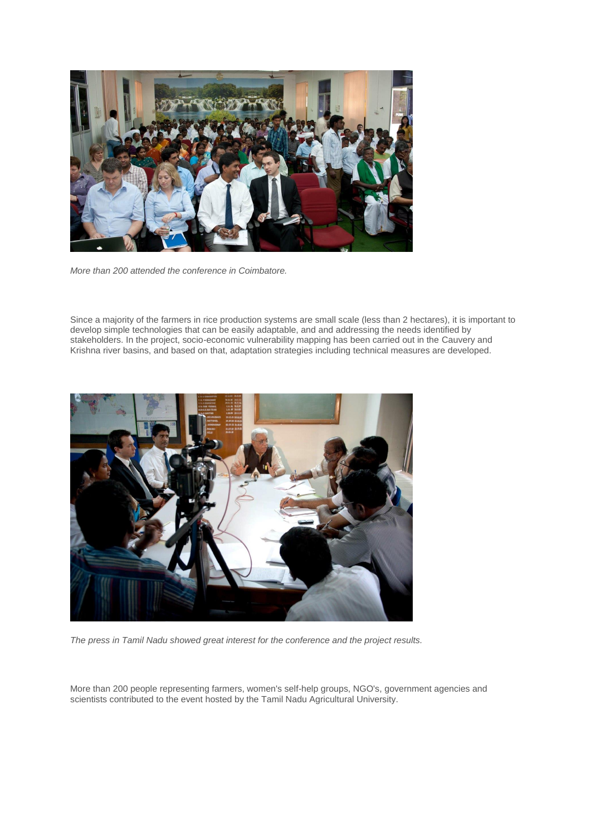

*More than 200 attended the conference in Coimbatore.*

Since a majority of the farmers in rice production systems are small scale (less than 2 hectares), it is important to develop simple technologies that can be easily adaptable, and and addressing the needs identified by stakeholders. In the project, socio-economic vulnerability mapping has been carried out in the Cauvery and Krishna river basins, and based on that, adaptation strategies including technical measures are developed.



*The press in Tamil Nadu showed great interest for the conference and the project results.*

More than 200 people representing farmers, women's self-help groups, NGO's, government agencies and scientists contributed to the event hosted by the Tamil Nadu Agricultural University.